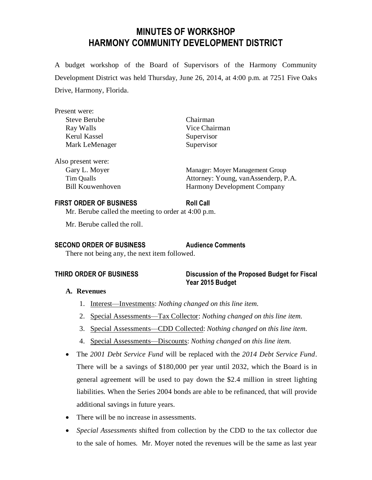# **MINUTES OF WORKSHOP HARMONY COMMUNITY DEVELOPMENT DISTRICT**

A budget workshop of the Board of Supervisors of the Harmony Community Development District was held Thursday, June 26, 2014, at 4:00 p.m. at 7251 Five Oaks Drive, Harmony, Florida.

| Present were:       |                                 |
|---------------------|---------------------------------|
| <b>Steve Berube</b> | Chairman                        |
| Ray Walls           | Vice Chairman                   |
| Kerul Kassel        | Supervisor                      |
| Mark LeMenager      | Supervisor                      |
| Also present were:  |                                 |
| Gary L. Moyer       | Manager: Moyer Management Group |

Tim Qualls Attorney: Young, vanAssenderp, P.A. Bill Kouwenhoven Harmony Development Company

### **FIRST ORDER OF BUSINESS Roll Call**

Mr. Berube called the meeting to order at 4:00 p.m.

Mr. Berube called the roll.

#### **SECOND ORDER OF BUSINESS Audience Comments**

There not being any, the next item followed.

### **THIRD ORDER OF BUSINESS Discussion of the Proposed Budget for Fiscal Year 2015 Budget**

# **A. Revenues**

- 1. Interest—Investments: *Nothing changed on this line item.*
- 2. Special Assessments—Tax Collector: *Nothing changed on this line item.*
- 3. Special Assessments—CDD Collected: *Nothing changed on this line item.*
- 4. Special Assessments—Discounts: *Nothing changed on this line item.*
- The *2001 Debt Service Fund* will be replaced with the *2014 Debt Service Fund*. There will be a savings of \$180,000 per year until 2032, which the Board is in general agreement will be used to pay down the \$2.4 million in street lighting liabilities. When the Series 2004 bonds are able to be refinanced, that will provide additional savings in future years.
- There will be no increase in assessments.
- *Special Assessments* shifted from collection by the CDD to the tax collector due to the sale of homes. Mr. Moyer noted the revenues will be the same as last year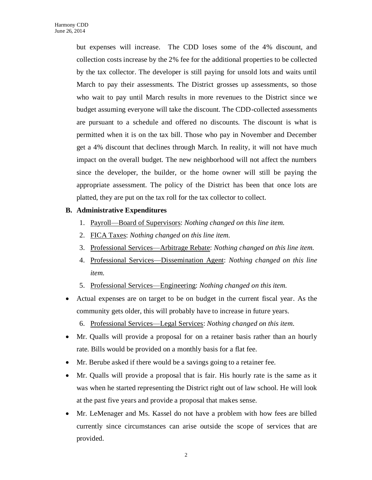but expenses will increase. The CDD loses some of the 4% discount, and collection costs increase by the 2% fee for the additional properties to be collected by the tax collector. The developer is still paying for unsold lots and waits until March to pay their assessments. The District grosses up assessments, so those who wait to pay until March results in more revenues to the District since we budget assuming everyone will take the discount. The CDD-collected assessments are pursuant to a schedule and offered no discounts. The discount is what is permitted when it is on the tax bill. Those who pay in November and December get a 4% discount that declines through March. In reality, it will not have much impact on the overall budget. The new neighborhood will not affect the numbers since the developer, the builder, or the home owner will still be paying the appropriate assessment. The policy of the District has been that once lots are platted, they are put on the tax roll for the tax collector to collect.

### **B. Administrative Expenditures**

- 1. Payroll—Board of Supervisors: *Nothing changed on this line item.*
- 2. FICA Taxes: *Nothing changed on this line item.*
- 3. Professional Services—Arbitrage Rebate: *Nothing changed on this line item.*
- 4. Professional Services—Dissemination Agent: *Nothing changed on this line item.*
- 5. Professional Services—Engineering: *Nothing changed on this item.*
- Actual expenses are on target to be on budget in the current fiscal year. As the community gets older, this will probably have to increase in future years.
	- 6. Professional Services—Legal Services: *Nothing changed on this item.*
- Mr. Qualls will provide a proposal for on a retainer basis rather than an hourly rate. Bills would be provided on a monthly basis for a flat fee.
- Mr. Berube asked if there would be a savings going to a retainer fee.
- Mr. Qualls will provide a proposal that is fair. His hourly rate is the same as it was when he started representing the District right out of law school. He will look at the past five years and provide a proposal that makes sense.
- Mr. LeMenager and Ms. Kassel do not have a problem with how fees are billed currently since circumstances can arise outside the scope of services that are provided.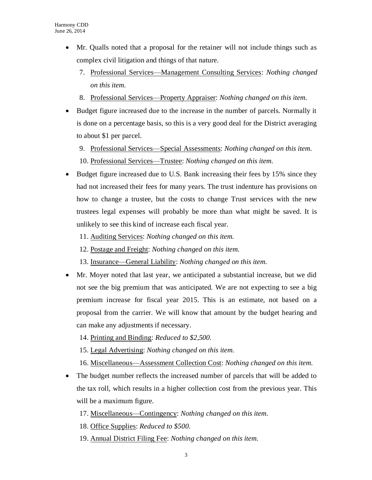- Mr. Qualls noted that a proposal for the retainer will not include things such as complex civil litigation and things of that nature.
	- 7. Professional Services—Management Consulting Services: *Nothing changed on this item.*
	- 8. Professional Services—Property Appraiser: *Nothing changed on this item.*
- Budget figure increased due to the increase in the number of parcels. Normally it is done on a percentage basis, so this is a very good deal for the District averaging to about \$1 per parcel.
	- 9. Professional Services—Special Assessments: *Nothing changed on this item.* 10. Professional Services—Trustee: *Nothing changed on this item.*
- Budget figure increased due to U.S. Bank increasing their fees by 15% since they had not increased their fees for many years. The trust indenture has provisions on how to change a trustee, but the costs to change Trust services with the new trustees legal expenses will probably be more than what might be saved. It is unlikely to see this kind of increase each fiscal year.
	- 11. Auditing Services: *Nothing changed on this item.*
	- 12. Postage and Freight: *Nothing changed on this item.*
	- 13. Insurance—General Liability: *Nothing changed on this item.*
- Mr. Moyer noted that last year, we anticipated a substantial increase, but we did not see the big premium that was anticipated. We are not expecting to see a big premium increase for fiscal year 2015. This is an estimate, not based on a proposal from the carrier. We will know that amount by the budget hearing and can make any adjustments if necessary.
	- 14. Printing and Binding: *Reduced to \$2,500.*
	- 15. Legal Advertising: *Nothing changed on this item.*
	- 16. Miscellaneous—Assessment Collection Cost: *Nothing changed on this item.*
- The budget number reflects the increased number of parcels that will be added to the tax roll, which results in a higher collection cost from the previous year. This will be a maximum figure.
	- 17. Miscellaneous—Contingency: *Nothing changed on this item.*
	- 18. Office Supplies: *Reduced to \$500.*
	- 19. Annual District Filing Fee: *Nothing changed on this item.*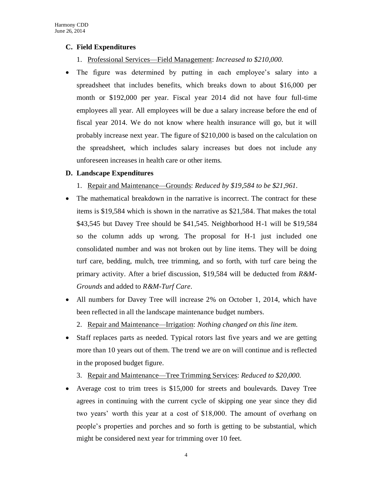#### **C. Field Expenditures**

- 1. Professional Services—Field Management: *Increased to \$210,000.*
- The figure was determined by putting in each employee's salary into a spreadsheet that includes benefits, which breaks down to about \$16,000 per month or \$192,000 per year. Fiscal year 2014 did not have four full-time employees all year. All employees will be due a salary increase before the end of fiscal year 2014. We do not know where health insurance will go, but it will probably increase next year. The figure of \$210,000 is based on the calculation on the spreadsheet, which includes salary increases but does not include any unforeseen increases in health care or other items.

#### **D. Landscape Expenditures**

- 1. Repair and Maintenance—Grounds: *Reduced by \$19,584 to be \$21,961.*
- The mathematical breakdown in the narrative is incorrect. The contract for these items is \$19,584 which is shown in the narrative as \$21,584. That makes the total \$43,545 but Davey Tree should be \$41,545. Neighborhood H-1 will be \$19,584 so the column adds up wrong. The proposal for H-1 just included one consolidated number and was not broken out by line items. They will be doing turf care, bedding, mulch, tree trimming, and so forth, with turf care being the primary activity. After a brief discussion, \$19,584 will be deducted from *R&M-Grounds* and added to *R&M-Turf Care*.
- All numbers for Davey Tree will increase 2% on October 1, 2014, which have been reflected in all the landscape maintenance budget numbers.
	- 2. Repair and Maintenance—Irrigation: *Nothing changed on this line item.*
- Staff replaces parts as needed. Typical rotors last five years and we are getting more than 10 years out of them. The trend we are on will continue and is reflected in the proposed budget figure.
	- 3. Repair and Maintenance—Tree Trimming Services: *Reduced to \$20,000.*
- Average cost to trim trees is \$15,000 for streets and boulevards. Davey Tree agrees in continuing with the current cycle of skipping one year since they did two years' worth this year at a cost of \$18,000. The amount of overhang on people's properties and porches and so forth is getting to be substantial, which might be considered next year for trimming over 10 feet.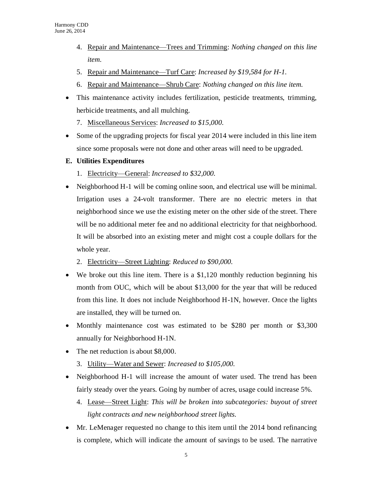- 4. Repair and Maintenance—Trees and Trimming: *Nothing changed on this line item.*
- 5. Repair and Maintenance—Turf Care: *Increased by \$19,584 for H-1.*
- 6. Repair and Maintenance—Shrub Care: *Nothing changed on this line item.*
- This maintenance activity includes fertilization, pesticide treatments, trimming, herbicide treatments, and all mulching.
	- 7. Miscellaneous Services: *Increased to \$15,000.*
- Some of the upgrading projects for fiscal year 2014 were included in this line item since some proposals were not done and other areas will need to be upgraded.
- **E. Utilities Expenditures**
	- 1. Electricity—General: *Increased to \$32,000.*
- Neighborhood H-1 will be coming online soon, and electrical use will be minimal. Irrigation uses a 24-volt transformer. There are no electric meters in that neighborhood since we use the existing meter on the other side of the street. There will be no additional meter fee and no additional electricity for that neighborhood. It will be absorbed into an existing meter and might cost a couple dollars for the whole year.
	- 2. Electricity—Street Lighting: *Reduced to \$90,000.*
- We broke out this line item. There is a \$1,120 monthly reduction beginning his month from OUC, which will be about \$13,000 for the year that will be reduced from this line. It does not include Neighborhood H-1N, however. Once the lights are installed, they will be turned on.
- Monthly maintenance cost was estimated to be \$280 per month or \$3,300 annually for Neighborhood H-1N.
- The net reduction is about \$8,000.
	- 3. Utility—Water and Sewer: *Increased to \$105,000.*
- Neighborhood H-1 will increase the amount of water used. The trend has been fairly steady over the years. Going by number of acres, usage could increase 5%.
	- 4. Lease—Street Light: *This will be broken into subcategories: buyout of street light contracts and new neighborhood street lights.*
- Mr. LeMenager requested no change to this item until the 2014 bond refinancing is complete, which will indicate the amount of savings to be used. The narrative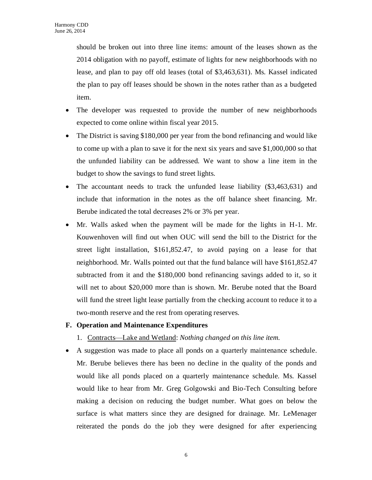should be broken out into three line items: amount of the leases shown as the 2014 obligation with no payoff, estimate of lights for new neighborhoods with no lease, and plan to pay off old leases (total of \$3,463,631). Ms. Kassel indicated the plan to pay off leases should be shown in the notes rather than as a budgeted item.

- The developer was requested to provide the number of new neighborhoods expected to come online within fiscal year 2015.
- The District is saving \$180,000 per year from the bond refinancing and would like to come up with a plan to save it for the next six years and save \$1,000,000 so that the unfunded liability can be addressed. We want to show a line item in the budget to show the savings to fund street lights.
- The accountant needs to track the unfunded lease liability (\$3,463,631) and include that information in the notes as the off balance sheet financing. Mr. Berube indicated the total decreases 2% or 3% per year.
- Mr. Walls asked when the payment will be made for the lights in H-1. Mr. Kouwenhoven will find out when OUC will send the bill to the District for the street light installation, \$161,852.47, to avoid paying on a lease for that neighborhood. Mr. Walls pointed out that the fund balance will have \$161,852.47 subtracted from it and the \$180,000 bond refinancing savings added to it, so it will net to about \$20,000 more than is shown. Mr. Berube noted that the Board will fund the street light lease partially from the checking account to reduce it to a two-month reserve and the rest from operating reserves.

#### **F. Operation and Maintenance Expenditures**

- 1. Contracts—Lake and Wetland: *Nothing changed on this line item.*
- A suggestion was made to place all ponds on a quarterly maintenance schedule. Mr. Berube believes there has been no decline in the quality of the ponds and would like all ponds placed on a quarterly maintenance schedule. Ms. Kassel would like to hear from Mr. Greg Golgowski and Bio-Tech Consulting before making a decision on reducing the budget number. What goes on below the surface is what matters since they are designed for drainage. Mr. LeMenager reiterated the ponds do the job they were designed for after experiencing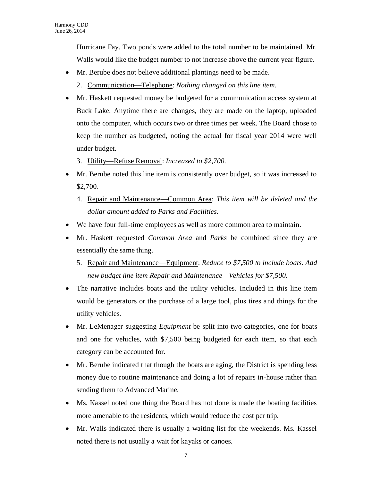Hurricane Fay. Two ponds were added to the total number to be maintained. Mr. Walls would like the budget number to not increase above the current year figure.

- Mr. Berube does not believe additional plantings need to be made.
	- 2. Communication—Telephone: *Nothing changed on this line item.*
- Mr. Haskett requested money be budgeted for a communication access system at Buck Lake. Anytime there are changes, they are made on the laptop, uploaded onto the computer, which occurs two or three times per week. The Board chose to keep the number as budgeted, noting the actual for fiscal year 2014 were well under budget.
	- 3. Utility—Refuse Removal: *Increased to \$2,700.*
- Mr. Berube noted this line item is consistently over budget, so it was increased to \$2,700.
	- 4. Repair and Maintenance—Common Area: *This item will be deleted and the dollar amount added to Parks and Facilities.*
- We have four full-time employees as well as more common area to maintain.
- Mr. Haskett requested *Common Area* and *Parks* be combined since they are essentially the same thing.
	- 5. Repair and Maintenance—Equipment: *Reduce to \$7,500 to include boats. Add new budget line item Repair and Maintenance—Vehicles for \$7,500.*
- The narrative includes boats and the utility vehicles. Included in this line item would be generators or the purchase of a large tool, plus tires and things for the utility vehicles.
- Mr. LeMenager suggesting *Equipment* be split into two categories, one for boats and one for vehicles, with \$7,500 being budgeted for each item, so that each category can be accounted for.
- Mr. Berube indicated that though the boats are aging, the District is spending less money due to routine maintenance and doing a lot of repairs in-house rather than sending them to Advanced Marine.
- Ms. Kassel noted one thing the Board has not done is made the boating facilities more amenable to the residents, which would reduce the cost per trip.
- Mr. Walls indicated there is usually a waiting list for the weekends. Ms. Kassel noted there is not usually a wait for kayaks or canoes.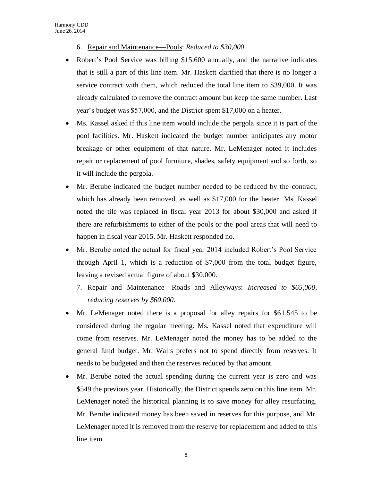- 6. Repair and Maintenance—Pools: *Reduced to \$30,000.*
- Robert's Pool Service was billing \$15,600 annually, and the narrative indicates that is still a part of this line item. Mr. Haskett clarified that there is no longer a service contract with them, which reduced the total line item to \$39,000. It was already calculated to remove the contract amount but keep the same number. Last year's budget was \$57,000, and the District spent \$17,000 on a heater.
- Ms. Kassel asked if this line item would include the pergola since it is part of the pool facilities. Mr. Haskett indicated the budget number anticipates any motor breakage or other equipment of that nature. Mr. LeMenager noted it includes repair or replacement of pool furniture, shades, safety equipment and so forth, so it will include the pergola.
- Mr. Berube indicated the budget number needed to be reduced by the contract, which has already been removed, as well as \$17,000 for the heater. Ms. Kassel noted the tile was replaced in fiscal year 2013 for about \$30,000 and asked if there are refurbishments to either of the pools or the pool areas that will need to happen in fiscal year 2015. Mr. Haskett responded no.
- Mr. Berube noted the actual for fiscal year 2014 included Robert's Pool Service through April 1, which is a reduction of \$7,000 from the total budget figure, leaving a revised actual figure of about \$30,000.
	- 7. Repair and Maintenance—Roads and Alleyways: *Increased to \$65,000, reducing reserves by \$60,000.*
- Mr. LeMenager noted there is a proposal for alley repairs for \$61,545 to be considered during the regular meeting. Ms. Kassel noted that expenditure will come from reserves. Mr. LeMenager noted the money has to be added to the general fund budget. Mr. Walls prefers not to spend directly from reserves. It needs to be budgeted and then the reserves reduced by that amount.
- Mr. Berube noted the actual spending during the current year is zero and was \$549 the previous year. Historically, the District spends zero on this line item. Mr. LeMenager noted the historical planning is to save money for alley resurfacing. Mr. Berube indicated money has been saved in reserves for this purpose, and Mr. LeMenager noted it is removed from the reserve for replacement and added to this line item.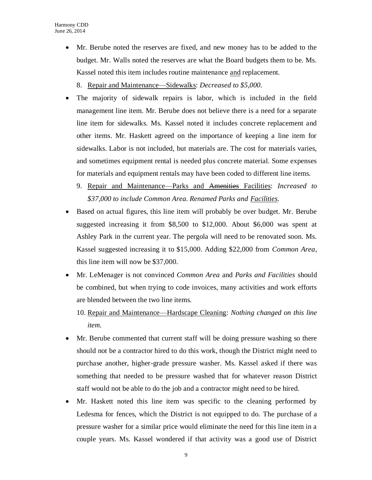Mr. Berube noted the reserves are fixed, and new money has to be added to the budget. Mr. Walls noted the reserves are what the Board budgets them to be. Ms. Kassel noted this item includes routine maintenance and replacement.

8. Repair and Maintenance—Sidewalks: *Decreased to \$5,000.*

- The majority of sidewalk repairs is labor, which is included in the field management line item. Mr. Berube does not believe there is a need for a separate line item for sidewalks. Ms. Kassel noted it includes concrete replacement and other items. Mr. Haskett agreed on the importance of keeping a line item for sidewalks. Labor is not included, but materials are. The cost for materials varies, and sometimes equipment rental is needed plus concrete material. Some expenses for materials and equipment rentals may have been coded to different line items.
	- 9. Repair and Maintenance—Parks and Amenities Facilities: *Increased to \$37,000 to include Common Area. Renamed Parks and Facilities.*
- Based on actual figures, this line item will probably be over budget. Mr. Berube suggested increasing it from \$8,500 to \$12,000. About \$6,000 was spent at Ashley Park in the current year. The pergola will need to be renovated soon. Ms. Kassel suggested increasing it to \$15,000. Adding \$22,000 from *Common Area*, this line item will now be \$37,000.
- Mr. LeMenager is not convinced *Common Area* and *Parks and Facilities* should be combined, but when trying to code invoices, many activities and work efforts are blended between the two line items.

10. Repair and Maintenance—Hardscape Cleaning: *Nothing changed on this line item.*

- Mr. Berube commented that current staff will be doing pressure washing so there should not be a contractor hired to do this work, though the District might need to purchase another, higher-grade pressure washer. Ms. Kassel asked if there was something that needed to be pressure washed that for whatever reason District staff would not be able to do the job and a contractor might need to be hired.
- Mr. Haskett noted this line item was specific to the cleaning performed by Ledesma for fences, which the District is not equipped to do. The purchase of a pressure washer for a similar price would eliminate the need for this line item in a couple years. Ms. Kassel wondered if that activity was a good use of District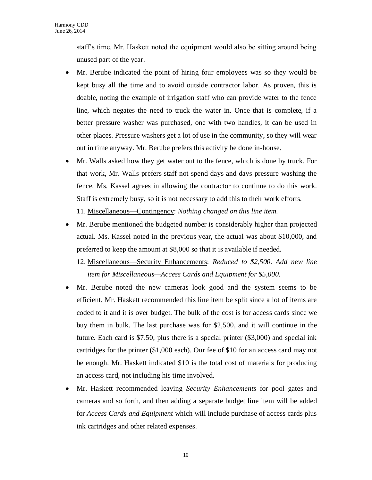staff's time. Mr. Haskett noted the equipment would also be sitting around being unused part of the year.

- Mr. Berube indicated the point of hiring four employees was so they would be kept busy all the time and to avoid outside contractor labor. As proven, this is doable, noting the example of irrigation staff who can provide water to the fence line, which negates the need to truck the water in. Once that is complete, if a better pressure washer was purchased, one with two handles, it can be used in other places. Pressure washers get a lot of use in the community, so they will wear out in time anyway. Mr. Berube prefers this activity be done in-house.
- Mr. Walls asked how they get water out to the fence, which is done by truck. For that work, Mr. Walls prefers staff not spend days and days pressure washing the fence. Ms. Kassel agrees in allowing the contractor to continue to do this work. Staff is extremely busy, so it is not necessary to add this to their work efforts. 11. Miscellaneous—Contingency: *Nothing changed on this line item.*
- Mr. Berube mentioned the budgeted number is considerably higher than projected actual. Ms. Kassel noted in the previous year, the actual was about \$10,000, and preferred to keep the amount at \$8,000 so that it is available if needed.
	- 12. Miscellaneous—Security Enhancements: *Reduced to \$2,500. Add new line item for Miscellaneous—Access Cards and Equipment for \$5,000.*
- Mr. Berube noted the new cameras look good and the system seems to be efficient. Mr. Haskett recommended this line item be split since a lot of items are coded to it and it is over budget. The bulk of the cost is for access cards since we buy them in bulk. The last purchase was for \$2,500, and it will continue in the future. Each card is \$7.50, plus there is a special printer  $(\$3,000)$  and special ink cartridges for the printer (\$1,000 each). Our fee of \$10 for an access card may not be enough. Mr. Haskett indicated \$10 is the total cost of materials for producing an access card, not including his time involved.
- Mr. Haskett recommended leaving *Security Enhancements* for pool gates and cameras and so forth, and then adding a separate budget line item will be added for *Access Cards and Equipment* which will include purchase of access cards plus ink cartridges and other related expenses.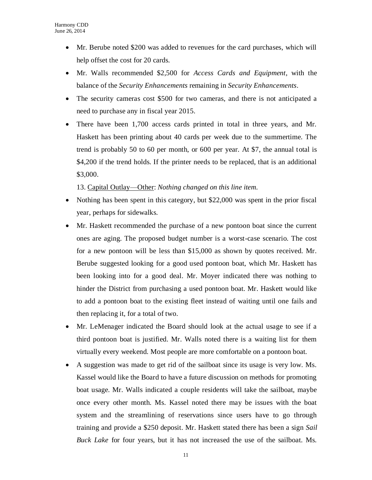- Mr. Berube noted \$200 was added to revenues for the card purchases, which will help offset the cost for 20 cards.
- Mr. Walls recommended \$2,500 for *Access Cards and Equipment*, with the balance of the *Security Enhancements* remaining in *Security Enhancements*.
- The security cameras cost \$500 for two cameras, and there is not anticipated a need to purchase any in fiscal year 2015.
- There have been 1,700 access cards printed in total in three years, and Mr. Haskett has been printing about 40 cards per week due to the summertime. The trend is probably 50 to 60 per month, or 600 per year. At \$7, the annual total is \$4,200 if the trend holds. If the printer needs to be replaced, that is an additional \$3,000.

13. Capital Outlay—Other: *Nothing changed on this line item.*

- Nothing has been spent in this category, but \$22,000 was spent in the prior fiscal year, perhaps for sidewalks.
- Mr. Haskett recommended the purchase of a new pontoon boat since the current ones are aging. The proposed budget number is a worst-case scenario. The cost for a new pontoon will be less than \$15,000 as shown by quotes received. Mr. Berube suggested looking for a good used pontoon boat, which Mr. Haskett has been looking into for a good deal. Mr. Moyer indicated there was nothing to hinder the District from purchasing a used pontoon boat. Mr. Haskett would like to add a pontoon boat to the existing fleet instead of waiting until one fails and then replacing it, for a total of two.
- Mr. LeMenager indicated the Board should look at the actual usage to see if a third pontoon boat is justified. Mr. Walls noted there is a waiting list for them virtually every weekend. Most people are more comfortable on a pontoon boat.
- A suggestion was made to get rid of the sailboat since its usage is very low. Ms. Kassel would like the Board to have a future discussion on methods for promoting boat usage. Mr. Walls indicated a couple residents will take the sailboat, maybe once every other month. Ms. Kassel noted there may be issues with the boat system and the streamlining of reservations since users have to go through training and provide a \$250 deposit. Mr. Haskett stated there has been a sign *Sail Buck Lake* for four years, but it has not increased the use of the sailboat. Ms.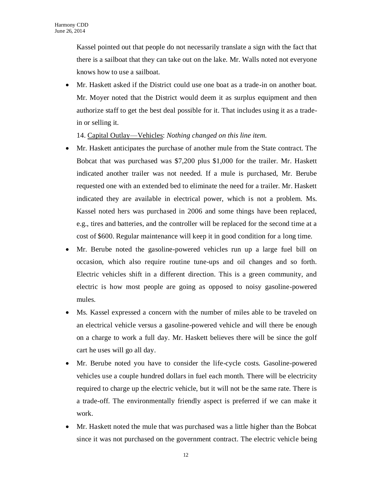Kassel pointed out that people do not necessarily translate a sign with the fact that there is a sailboat that they can take out on the lake. Mr. Walls noted not everyone knows how to use a sailboat.

 Mr. Haskett asked if the District could use one boat as a trade-in on another boat. Mr. Moyer noted that the District would deem it as surplus equipment and then authorize staff to get the best deal possible for it. That includes using it as a tradein or selling it.

14. Capital Outlay—Vehicles: *Nothing changed on this line item.*

- Mr. Haskett anticipates the purchase of another mule from the State contract. The Bobcat that was purchased was \$7,200 plus \$1,000 for the trailer. Mr. Haskett indicated another trailer was not needed. If a mule is purchased, Mr. Berube requested one with an extended bed to eliminate the need for a trailer. Mr. Haskett indicated they are available in electrical power, which is not a problem. Ms. Kassel noted hers was purchased in 2006 and some things have been replaced, e.g., tires and batteries, and the controller will be replaced for the second time at a cost of \$600. Regular maintenance will keep it in good condition for a long time.
- Mr. Berube noted the gasoline-powered vehicles run up a large fuel bill on occasion, which also require routine tune-ups and oil changes and so forth. Electric vehicles shift in a different direction. This is a green community, and electric is how most people are going as opposed to noisy gasoline-powered mules.
- Ms. Kassel expressed a concern with the number of miles able to be traveled on an electrical vehicle versus a gasoline-powered vehicle and will there be enough on a charge to work a full day. Mr. Haskett believes there will be since the golf cart he uses will go all day.
- Mr. Berube noted you have to consider the life-cycle costs. Gasoline-powered vehicles use a couple hundred dollars in fuel each month. There will be electricity required to charge up the electric vehicle, but it will not be the same rate. There is a trade-off. The environmentally friendly aspect is preferred if we can make it work.
- Mr. Haskett noted the mule that was purchased was a little higher than the Bobcat since it was not purchased on the government contract. The electric vehicle being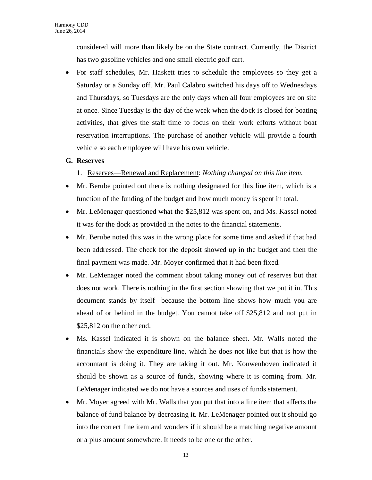considered will more than likely be on the State contract. Currently, the District has two gasoline vehicles and one small electric golf cart.

 For staff schedules, Mr. Haskett tries to schedule the employees so they get a Saturday or a Sunday off. Mr. Paul Calabro switched his days off to Wednesdays and Thursdays, so Tuesdays are the only days when all four employees are on site at once. Since Tuesday is the day of the week when the dock is closed for boating activities, that gives the staff time to focus on their work efforts without boat reservation interruptions. The purchase of another vehicle will provide a fourth vehicle so each employee will have his own vehicle.

#### **G. Reserves**

- 1. Reserves—Renewal and Replacement: *Nothing changed on this line item.*
- Mr. Berube pointed out there is nothing designated for this line item, which is a function of the funding of the budget and how much money is spent in total.
- Mr. LeMenager questioned what the \$25,812 was spent on, and Ms. Kassel noted it was for the dock as provided in the notes to the financial statements.
- Mr. Berube noted this was in the wrong place for some time and asked if that had been addressed. The check for the deposit showed up in the budget and then the final payment was made. Mr. Moyer confirmed that it had been fixed.
- Mr. LeMenager noted the comment about taking money out of reserves but that does not work. There is nothing in the first section showing that we put it in. This document stands by itself because the bottom line shows how much you are ahead of or behind in the budget. You cannot take off \$25,812 and not put in \$25,812 on the other end.
- Ms. Kassel indicated it is shown on the balance sheet. Mr. Walls noted the financials show the expenditure line, which he does not like but that is how the accountant is doing it. They are taking it out. Mr. Kouwenhoven indicated it should be shown as a source of funds, showing where it is coming from. Mr. LeMenager indicated we do not have a sources and uses of funds statement.
- Mr. Moyer agreed with Mr. Walls that you put that into a line item that affects the balance of fund balance by decreasing it. Mr. LeMenager pointed out it should go into the correct line item and wonders if it should be a matching negative amount or a plus amount somewhere. It needs to be one or the other.